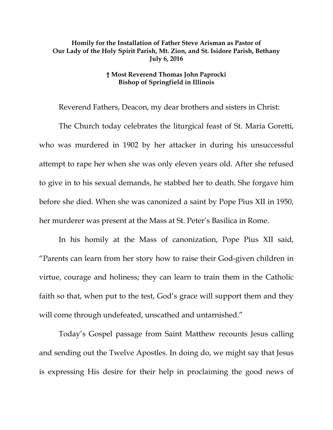## **Homily for the Installation of Father Steve Arisman as Pastor of Our Lady of the Holy Spirit Parish, Mt. Zion, and St. Isidore Parish, Bethany July 6, 2016**

## **† Most Reverend Thomas John Paprocki Bishop of Springfield in Illinois**

Reverend Fathers, Deacon, my dear brothers and sisters in Christ:

The Church today celebrates the liturgical feast of St. Maria Goretti, who was murdered in 1902 by her attacker in during his unsuccessful attempt to rape her when she was only eleven years old. After she refused to give in to his sexual demands, he stabbed her to death. She forgave him before she died. When she was canonized a saint by Pope Pius XII in 1950, her murderer was present at the Mass at St. Peter's Basilica in Rome.

In his homily at the Mass of canonization, Pope Pius XII said, "Parents can learn from her story how to raise their God-given children in virtue, courage and holiness; they can learn to train them in the Catholic faith so that, when put to the test, God's grace will support them and they will come through undefeated, unscathed and untarnished."

Today's Gospel passage from Saint Matthew recounts Jesus calling and sending out the Twelve Apostles. In doing do, we might say that Jesus is expressing His desire for their help in proclaiming the good news of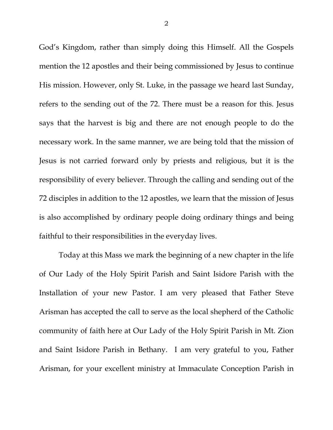God's Kingdom, rather than simply doing this Himself. All the Gospels mention the 12 apostles and their being commissioned by Jesus to continue His mission. However, only St. Luke, in the passage we heard last Sunday, refers to the sending out of the 72. There must be a reason for this. Jesus says that the harvest is big and there are not enough people to do the necessary work. In the same manner, we are being told that the mission of Jesus is not carried forward only by priests and religious, but it is the responsibility of every believer. Through the calling and sending out of the 72 disciples in addition to the 12 apostles, we learn that the mission of Jesus is also accomplished by ordinary people doing ordinary things and being faithful to their responsibilities in the everyday lives.

<span id="page-1-0"></span>Today at this Mass we mark the beginning of a new chapter in the life of Our Lady of the Holy Spirit Parish and Saint Isidore Parish with the Installation of your new Pastor. I am very pleased that Father Steve Arisman has accepted the call to serve as the local shepherd of the Catholic community of faith here at Our Lady of the Holy Spirit Parish in Mt. Zion and Saint Isidore Parish in Bethany. I am very grateful to you, Father Arisman, for your excellent ministry at Immaculate Conception Parish in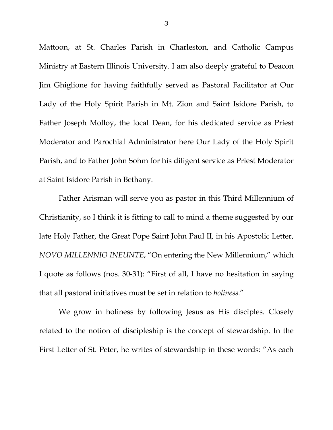Mattoon, at St. Charles Parish in Charleston, and Catholic Campus Ministry at Eastern Illinois University. I am also deeply grateful to Deacon Jim Ghiglione for having faithfully served as Pastoral Facilitator at Our Lady of the Holy Spirit Parish in Mt. Zion and Saint Isidore Parish, to Father Joseph Molloy, the local Dean, for his dedicated service as Priest Moderator and Parochial Administrator here Our Lady of the Holy Spirit Parish, and to Father John Sohm for his diligent service as Priest Moderator at Saint Isidore Parish in Bethany.

Father Arisman will serve you as pastor in this Third Millennium of Christianity, so I think it is fitting to call to mind a theme suggested by our late Holy Father, the Great Pope Saint John Paul II, in his Apostolic Letter, *NOVO MILLENNIO INEUNTE*, "On entering the New Millennium," which I quote as follows (nos. 30-31): "First of all, I have no hesitation in saying that all pastoral initiatives must be set in relation to *holiness*."

We grow in holiness by following Jesus as His disciples. Closely related to the notion of discipleship is the concept of stewardship. In the First Letter of St. Peter, he writes of stewardship in these words: "As each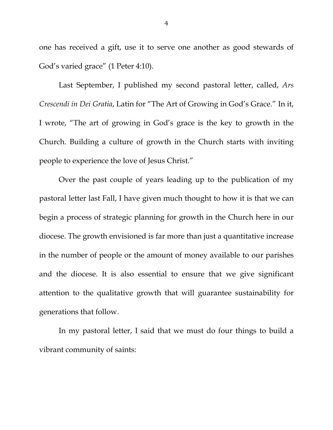one has received a gift, use it to serve one another as good stewards of God's varied grace" (1 Peter 4:10).

Last September, I published my second pastoral letter, called, *Ars Crescendi in Dei Gratia*, Latin for "The Art of Growing in God's Grace." In it, I wrote, "The art of growing in God's grace is the key to growth in the Church. Building a culture of growth in the Church starts with inviting people to experience the love of Jesus Christ."

Over the past couple of years leading up to the publication of my pastoral letter last Fall, I have given much thought to how it is that we can begin a process of strategic planning for growth in the Church here in our diocese. The growth envisioned is far more than just a quantitative increase in the number of people or the amount of money available to our parishes and the diocese. It is also essential to ensure that we give significant attention to the qualitative growth that will guarantee sustainability for generations that follow.

In my pastoral letter, I said that we must do four things to build a vibrant community of saints: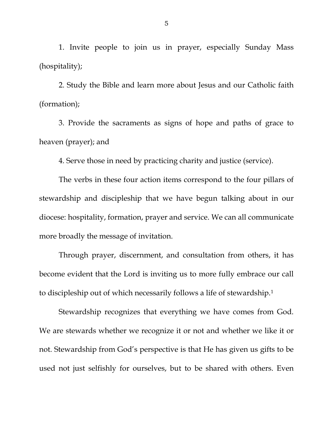1. Invite people to join us in prayer, especially Sunday Mass (hospitality);

2. Study the Bible and learn more about Jesus and our Catholic faith (formation);

3. Provide the sacraments as signs of hope and paths of grace to heaven (prayer); and

4. Serve those in need by practicing charity and justice (service).

The verbs in these four action items correspond to the four pillars of stewardship and discipleship that we have begun talking about in our diocese: hospitality, formation, prayer and service. We can all communicate more broadly the message of invitation.

Through prayer, discernment, and consultation from others, it has become evident that the Lord is inviting us to more fully embrace our call to discipleship out of which necessarily follows a life of stewardship.[1](#page-1-0) 

Stewardship recognizes that everything we have comes from God. We are stewards whether we recognize it or not and whether we like it or not. Stewardship from God's perspective is that He has given us gifts to be used not just selfishly for ourselves, but to be shared with others. Even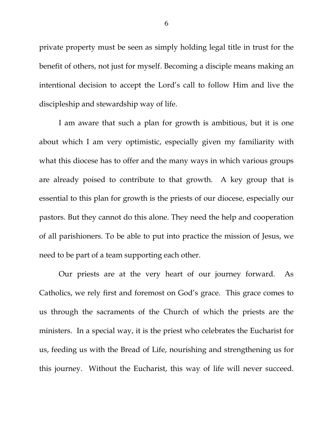private property must be seen as simply holding legal title in trust for the benefit of others, not just for myself. Becoming a disciple means making an intentional decision to accept the Lord's call to follow Him and live the discipleship and stewardship way of life.

I am aware that such a plan for growth is ambitious, but it is one about which I am very optimistic, especially given my familiarity with what this diocese has to offer and the many ways in which various groups are already poised to contribute to that growth. A key group that is essential to this plan for growth is the priests of our diocese, especially our pastors. But they cannot do this alone. They need the help and cooperation of all parishioners. To be able to put into practice the mission of Jesus, we need to be part of a team supporting each other.

Our priests are at the very heart of our journey forward. As Catholics, we rely first and foremost on God's grace. This grace comes to us through the sacraments of the Church of which the priests are the ministers. In a special way, it is the priest who celebrates the Eucharist for us, feeding us with the Bread of Life, nourishing and strengthening us for this journey. Without the Eucharist, this way of life will never succeed.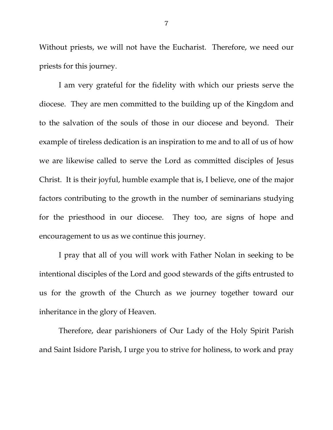Without priests, we will not have the Eucharist. Therefore, we need our priests for this journey.

I am very grateful for the fidelity with which our priests serve the diocese. They are men committed to the building up of the Kingdom and to the salvation of the souls of those in our diocese and beyond. Their example of tireless dedication is an inspiration to me and to all of us of how we are likewise called to serve the Lord as committed disciples of Jesus Christ. It is their joyful, humble example that is, I believe, one of the major factors contributing to the growth in the number of seminarians studying for the priesthood in our diocese. They too, are signs of hope and encouragement to us as we continue this journey.

I pray that all of you will work with Father Nolan in seeking to be intentional disciples of the Lord and good stewards of the gifts entrusted to us for the growth of the Church as we journey together toward our inheritance in the glory of Heaven.

Therefore, dear parishioners of Our Lady of the Holy Spirit Parish and Saint Isidore Parish, I urge you to strive for holiness, to work and pray